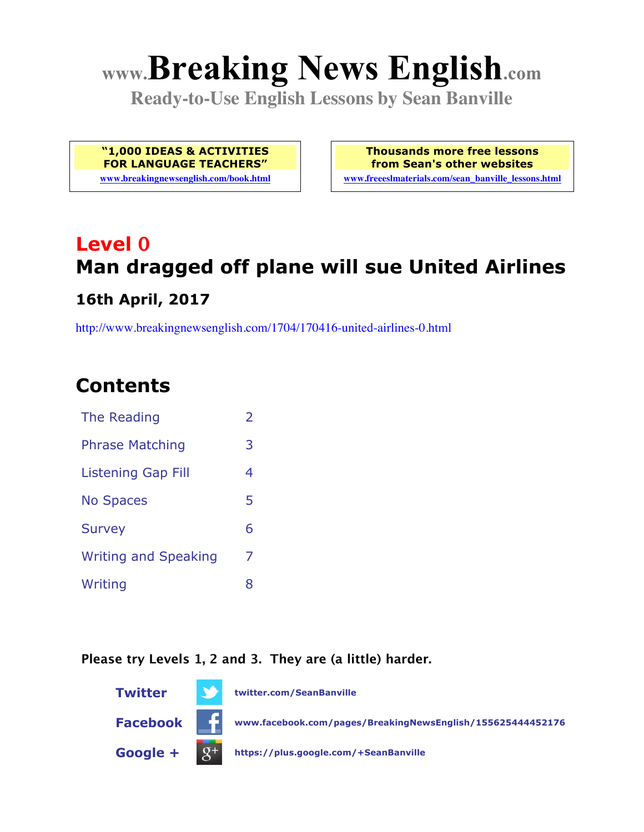# **www.Breaking News English.com**

**Ready-to-Use English Lessons by Sean Banville**

**"1,000 IDEAS & ACTIVITIES FOR LANGUAGE TEACHERS"**

**www.breakingnewsenglish.com/book.html**

**Thousands more free lessons from Sean's other websites www.freeeslmaterials.com/sean\_banville\_lessons.html**

# **Level 0 Man dragged off plane will sue United Airlines 16th April, 2017**

http://www.breakingnewsenglish.com/1704/170416-united-airlines-0.html

## **Contents**

| The Reading                 | $\overline{2}$ |
|-----------------------------|----------------|
| <b>Phrase Matching</b>      | 3              |
| <b>Listening Gap Fill</b>   | 4              |
| <b>No Spaces</b>            | 5              |
| <b>Survey</b>               | 6              |
| <b>Writing and Speaking</b> | 7              |
| Writing                     | 8              |
|                             |                |

#### **Please try Levels 1, 2 and 3. They are (a little) harder.**

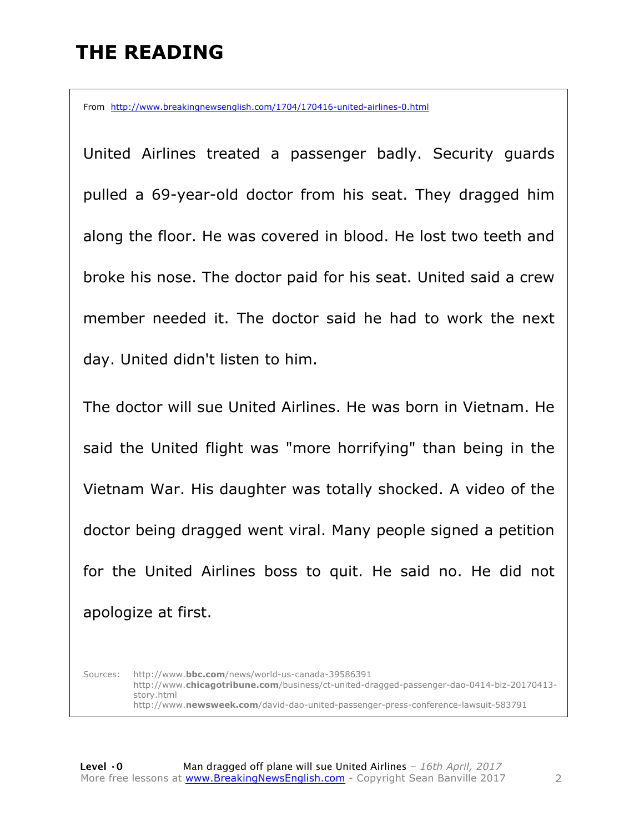### **THE READING**

From http://www.breakingnewsenglish.com/1704/170416-united-airlines-0.html

United Airlines treated a passenger badly. Security guards pulled a 69-year-old doctor from his seat. They dragged him along the floor. He was covered in blood. He lost two teeth and broke his nose. The doctor paid for his seat. United said a crew member needed it. The doctor said he had to work the next day. United didn't listen to him.

The doctor will sue United Airlines. He was born in Vietnam. He said the United flight was "more horrifying" than being in the Vietnam War. His daughter was totally shocked. A video of the doctor being dragged went viral. Many people signed a petition for the United Airlines boss to quit. He said no. He did not apologize at first.

Sources: http://www.**bbc.com**/news/world-us-canada-39586391 http://www.**chicagotribune.com**/business/ct-united-dragged-passenger-dao-0414-biz-20170413 story.html http://www.**newsweek.com**/david-dao-united-passenger-press-conference-lawsuit-583791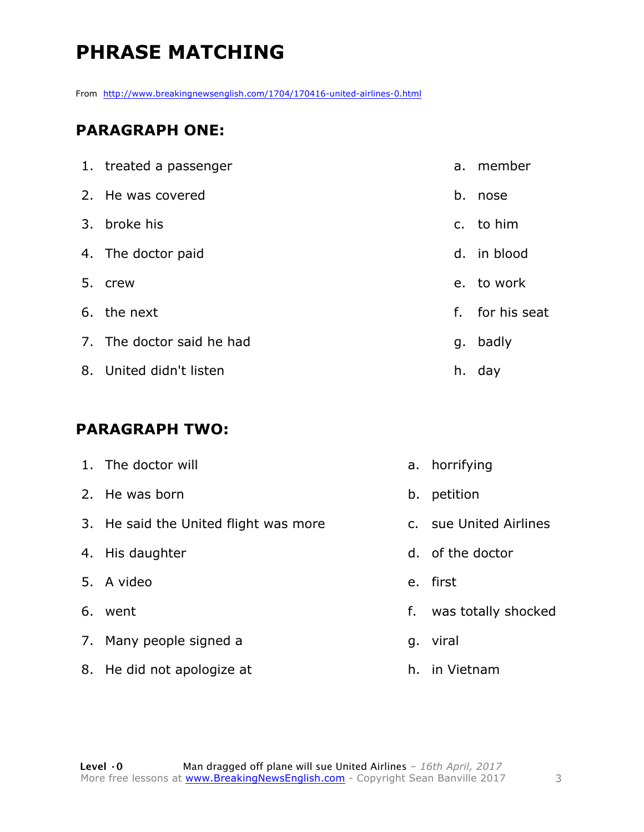# **PHRASE MATCHING**

From http://www.breakingnewsenglish.com/1704/170416-united-airlines-0.html

#### **PARAGRAPH ONE:**

| 1. treated a passenger    | a. | member          |
|---------------------------|----|-----------------|
| 2. He was covered         | b. | nose            |
| 3. broke his              |    | c. to him       |
| 4. The doctor paid        |    | d. in blood     |
| 5. crew                   |    | e. to work      |
| 6. the next               |    | f. for his seat |
| 7. The doctor said he had |    | g. badly        |
| 8. United didn't listen   |    | h. day          |

#### **PARAGRAPH TWO:**

| 1. The doctor will                    |    | a. horrifying          |
|---------------------------------------|----|------------------------|
| 2. He was born                        |    | b. petition            |
| 3. He said the United flight was more |    | c. sue United Airlines |
| 4. His daughter                       |    | d. of the doctor       |
| 5. A video                            |    | e. first               |
| 6. went                               | f. | was totally shocked    |
| 7. Many people signed a               |    | g. viral               |
| 8. He did not apologize at            |    | h. in Vietnam          |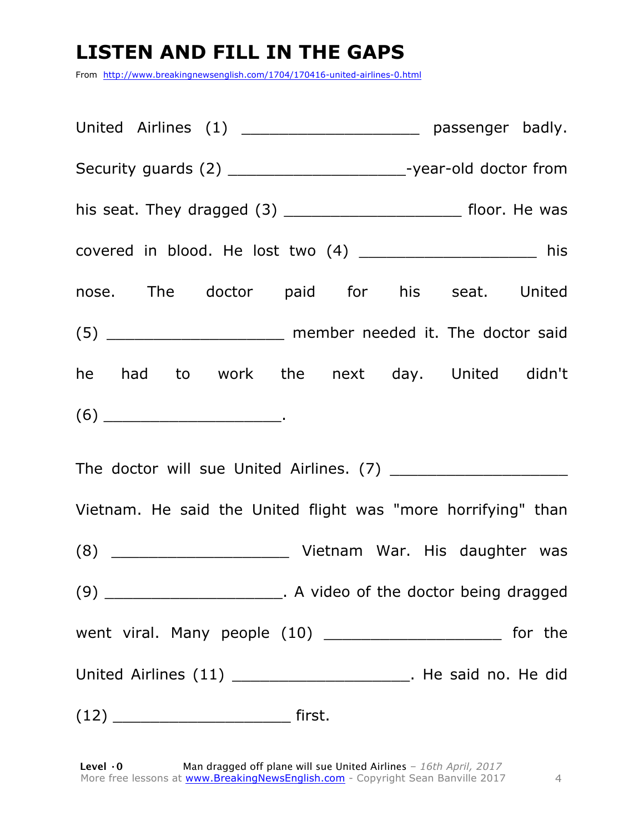# **LISTEN AND FILL IN THE GAPS**

From http://www.breakingnewsenglish.com/1704/170416-united-airlines-0.html

| United Airlines (1) ________________________ passenger badly.              |  |  |  |  |  |
|----------------------------------------------------------------------------|--|--|--|--|--|
| Security guards (2) ________________________-year-old doctor from          |  |  |  |  |  |
| his seat. They dragged (3) _________________________________ floor. He was |  |  |  |  |  |
| covered in blood. He lost two (4) ____________________ his                 |  |  |  |  |  |
| nose. The doctor paid for his seat. United                                 |  |  |  |  |  |
| (5) ________________________ member needed it. The doctor said             |  |  |  |  |  |
| he had to work the next day. United didn't                                 |  |  |  |  |  |
|                                                                            |  |  |  |  |  |
|                                                                            |  |  |  |  |  |
| Vietnam. He said the United flight was "more horrifying" than              |  |  |  |  |  |
|                                                                            |  |  |  |  |  |
| (9) __________________________. A video of the doctor being dragged        |  |  |  |  |  |
| went viral. Many people $(10)$ _____________________________ for the       |  |  |  |  |  |
| United Airlines (11) _________________________. He said no. He did         |  |  |  |  |  |
|                                                                            |  |  |  |  |  |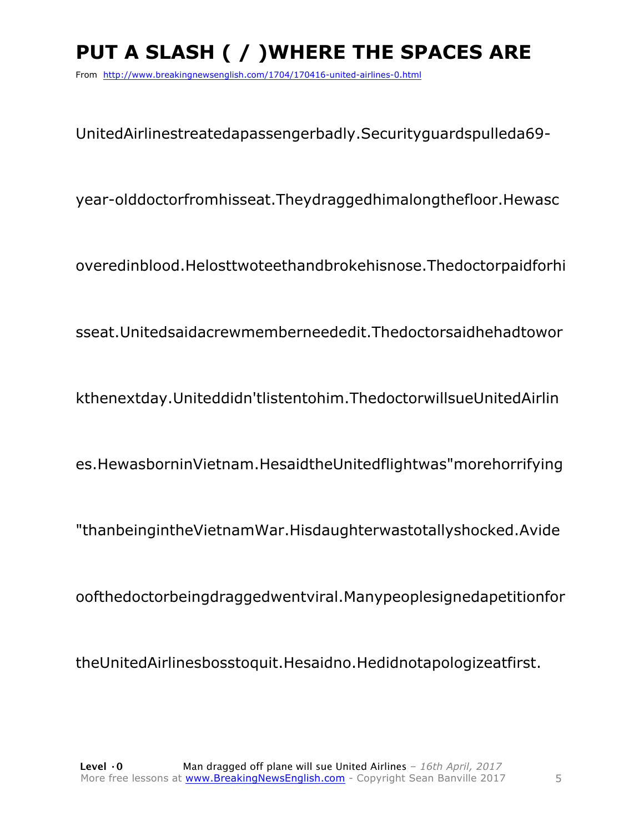# **PUT A SLASH ( / )WHERE THE SPACES ARE**

From http://www.breakingnewsenglish.com/1704/170416-united-airlines-0.html

UnitedAirlinestreatedapassengerbadly.Securityguardspulleda69-

year-olddoctorfromhisseat.Theydraggedhimalongthefloor.Hewasc

overedinblood.Helosttwoteethandbrokehisnose.Thedoctorpaidforhi

sseat.Unitedsaidacrewmemberneededit.Thedoctorsaidhehadtowor

kthenextday.Uniteddidn'tlistentohim.ThedoctorwillsueUnitedAirlin

es.HewasborninVietnam.HesaidtheUnitedflightwas"morehorrifying

"thanbeingintheVietnamWar.Hisdaughterwastotallyshocked.Avide

oofthedoctorbeingdraggedwentviral.Manypeoplesignedapetitionfor

theUnitedAirlinesbosstoquit.Hesaidno.Hedidnotapologizeatfirst.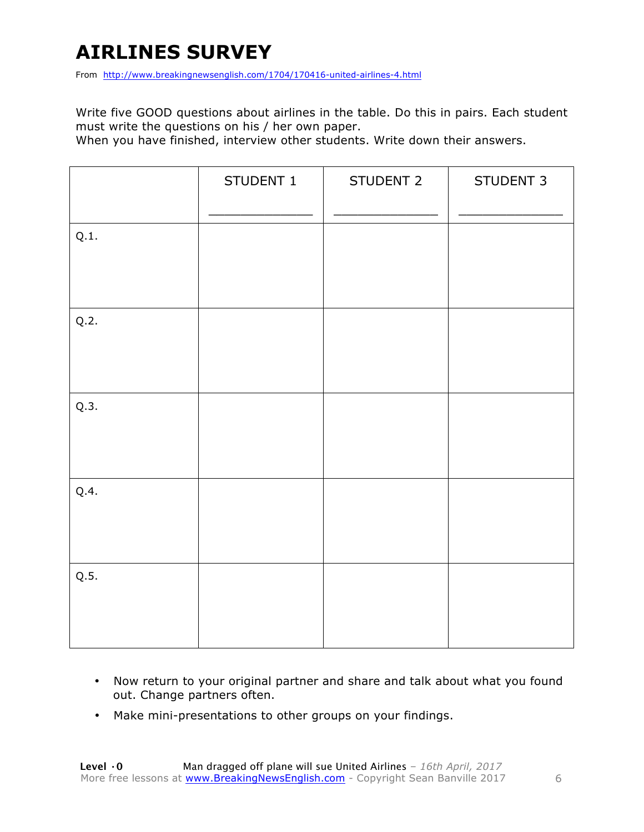# **AIRLINES SURVEY**

From http://www.breakingnewsenglish.com/1704/170416-united-airlines-4.html

Write five GOOD questions about airlines in the table. Do this in pairs. Each student must write the questions on his / her own paper.

When you have finished, interview other students. Write down their answers.

|      | STUDENT 1 | STUDENT 2 | STUDENT 3 |
|------|-----------|-----------|-----------|
| Q.1. |           |           |           |
| Q.2. |           |           |           |
| Q.3. |           |           |           |
| Q.4. |           |           |           |
| Q.5. |           |           |           |

- Now return to your original partner and share and talk about what you found out. Change partners often.
- Make mini-presentations to other groups on your findings.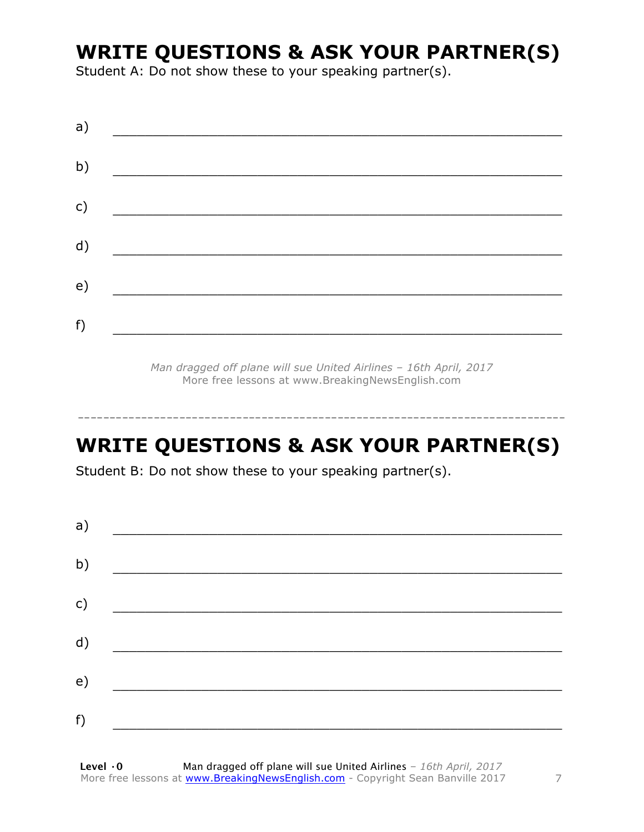### **WRITE QUESTIONS & ASK YOUR PARTNER(S)**

Student A: Do not show these to your speaking partner(s).

| a) |  |
|----|--|
| b) |  |
| c) |  |
| d) |  |
| e) |  |
| f) |  |
|    |  |

*Man dragged off plane will sue United Airlines – 16th April, 2017* More free lessons at www.BreakingNewsEnglish.com

## **WRITE QUESTIONS & ASK YOUR PARTNER(S)**

-----------------------------------------------------------------------------

Student B: Do not show these to your speaking partner(s).

| a) |  |  |
|----|--|--|
| b) |  |  |
| c) |  |  |
| d) |  |  |
| e) |  |  |
| f) |  |  |
|    |  |  |